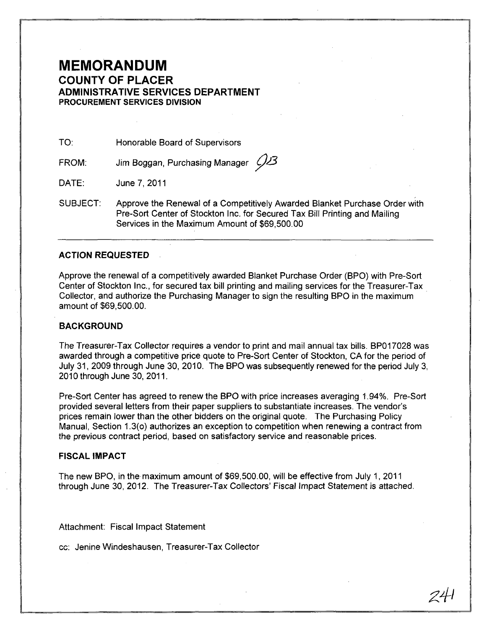# **MEMORANDUM COUNTY OF PLACER ADMINISTRATIVE SERVICES DEPARTMENT PROCUREMENT SERVICES DIVISION**

TO: Honorable Board of Supervisors

FROM: Jim Boggan, Purchasing Manager (123)

DATE: June 7, 2011

SUBJECT: Approve the Renewal of a Competitively Awarded Blanket Purchase Order with Pre-Sort Center of Stockton Inc. for Secured Tax Bill Printing and Mailing Services in the Maximum Amount of \$69,500.00

## **ACTION REQUESTED**

Approve the renewal of a competitively awarded Blanket Purchase Order (BPO) with Pre-Sort Center of Stockton Inc., for secured tax bill printing and mailing services for the Treasurer-Tax Collector, and authorize the Purchasing Manager to sign the resulting BPO in the maximum amount of \$69,500.00.

## **BACKGROUND**

The Treasurer-Tax Collector requires a vendor to print and mail annual tax bills. BP017028 was awarded through a competitive price quote to Pre-Sort Center of Stockton, CA for the period of July 31, 2009 through June 30, 2010. The BPO was subsequently renewed for the period July 3, 2010 through June 30, 2011.

Pre-Sort Center has agreed to renew the BPO with price increases averaging 1.94%. Pre-Sort provided several letters from their paper suppliers to substantiate increases. The vendor's prices remain lower than the other bidders on the original quote. The Purchasing Policy Manual, Section 1.3(0) authorizes an exception to competition when renewing a contract from the previous contract period, based on satisfactory service and reasonable prices.

#### **FISCAL IMPACT**

The new BPO, in the maximum amount of \$69,500.00, will be effective from July 1, 2011 through June 30, 2012. The Treasurer-Tax Collectors' Fiscal Impact Statement is attached.

Attachment: Fiscal Impact Statement

cc: Jenine Windeshausen, Treasurer-Tax Collector